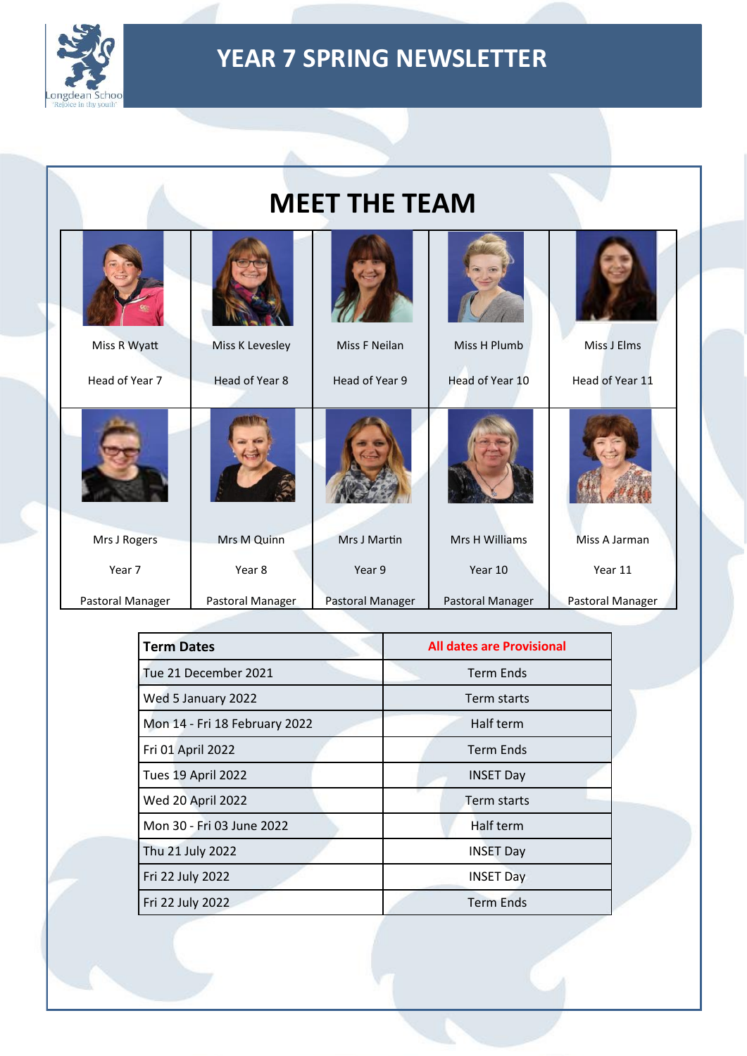

| <b>MEET THE TEAM</b>           |                                   |                                 |                                 |                                |
|--------------------------------|-----------------------------------|---------------------------------|---------------------------------|--------------------------------|
| Miss R Wyatt<br>Head of Year 7 | Miss K Levesley<br>Head of Year 8 | Miss F Neilan<br>Head of Year 9 | Miss H Plumb<br>Head of Year 10 | Miss J Elms<br>Head of Year 11 |
|                                |                                   |                                 |                                 |                                |
| Mrs J Rogers                   | Mrs M Quinn                       | Mrs J Martin                    | Mrs H Williams                  | Miss A Jarman                  |
| Year 7                         | Year 8                            | Year 9                          | Year 10                         | Year 11                        |
| Pastoral Manager               | Pastoral Manager                  | Pastoral Manager                | Pastoral Manager                | Pastoral Manager               |

| <b>Term Dates</b>             | <b>All dates are Provisional</b> |
|-------------------------------|----------------------------------|
| Tue 21 December 2021          | <b>Term Ends</b>                 |
| Wed 5 January 2022            | Term starts                      |
| Mon 14 - Fri 18 February 2022 | Half term                        |
| Fri 01 April 2022             | <b>Term Ends</b>                 |
| Tues 19 April 2022            | <b>INSET Day</b>                 |
| Wed 20 April 2022             | Term starts                      |
| Mon 30 - Fri 03 June 2022     | Half term                        |
| Thu 21 July 2022              | <b>INSET Day</b>                 |
| Fri 22 July 2022              | <b>INSET Day</b>                 |
| Fri 22 July 2022              | <b>Term Ends</b>                 |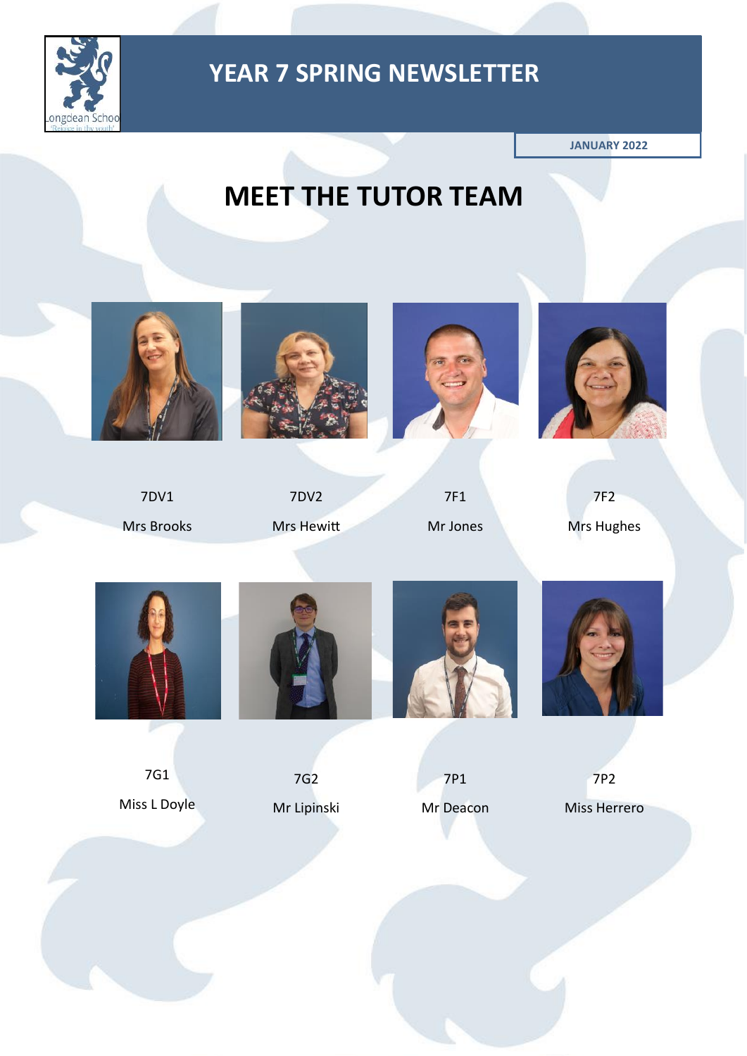

**JANUARY 2022**

# **MEET THE TUTOR TEAM**



7DV1 Mrs Brooks



7DV2 Mrs Hewitt



7F1 Mr Jones



7F2 Mrs Hughes



7G1 Miss L Doyle



7G2 Mr Lipinski



7P1 Mr Deacon 7P2

Miss Herrero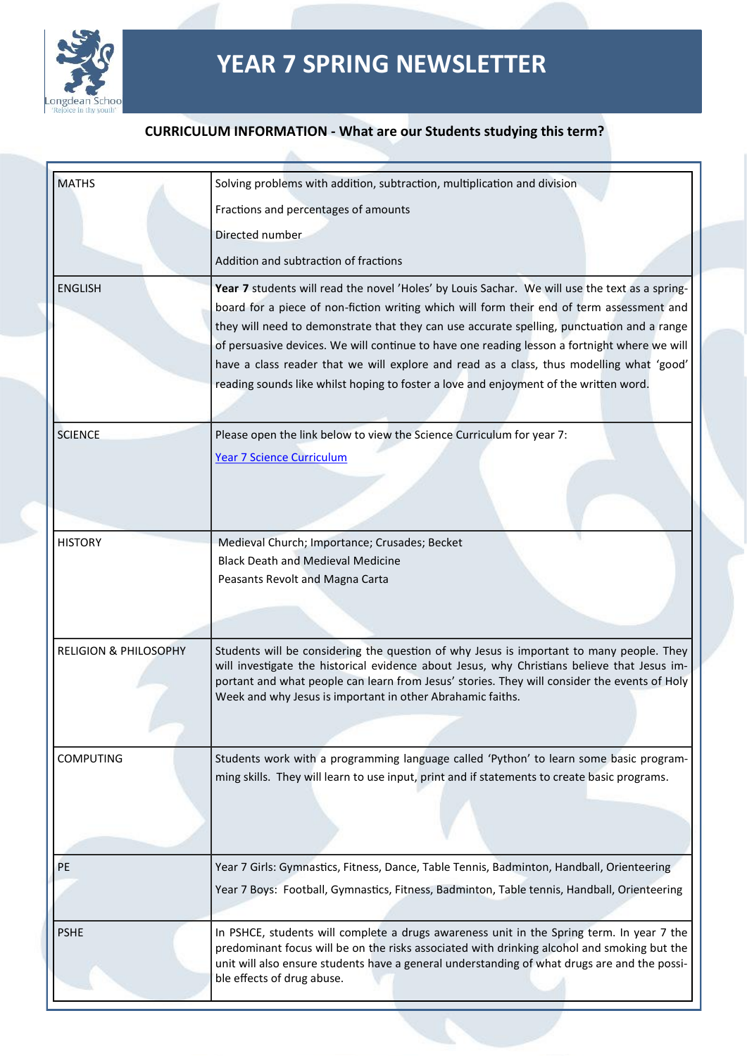

#### **CURRICULUM INFORMATION - What are our Students studying this term?**

| <b>MATHS</b>                     | Solving problems with addition, subtraction, multiplication and division                                                                                                                    |
|----------------------------------|---------------------------------------------------------------------------------------------------------------------------------------------------------------------------------------------|
|                                  | Fractions and percentages of amounts                                                                                                                                                        |
|                                  | Directed number                                                                                                                                                                             |
|                                  | Addition and subtraction of fractions                                                                                                                                                       |
| <b>ENGLISH</b>                   | Year 7 students will read the novel 'Holes' by Louis Sachar. We will use the text as a spring-                                                                                              |
|                                  | board for a piece of non-fiction writing which will form their end of term assessment and                                                                                                   |
|                                  | they will need to demonstrate that they can use accurate spelling, punctuation and a range                                                                                                  |
|                                  | of persuasive devices. We will continue to have one reading lesson a fortnight where we will                                                                                                |
|                                  | have a class reader that we will explore and read as a class, thus modelling what 'good'<br>reading sounds like whilst hoping to foster a love and enjoyment of the written word.           |
|                                  |                                                                                                                                                                                             |
| <b>SCIENCE</b>                   |                                                                                                                                                                                             |
|                                  | Please open the link below to view the Science Curriculum for year 7:<br><b>Year 7 Science Curriculum</b>                                                                                   |
|                                  |                                                                                                                                                                                             |
|                                  |                                                                                                                                                                                             |
|                                  |                                                                                                                                                                                             |
| <b>HISTORY</b>                   | Medieval Church; Importance; Crusades; Becket                                                                                                                                               |
|                                  | <b>Black Death and Medieval Medicine</b>                                                                                                                                                    |
|                                  | Peasants Revolt and Magna Carta                                                                                                                                                             |
|                                  |                                                                                                                                                                                             |
|                                  |                                                                                                                                                                                             |
| <b>RELIGION &amp; PHILOSOPHY</b> | Students will be considering the question of why Jesus is important to many people. They                                                                                                    |
|                                  | will investigate the historical evidence about Jesus, why Christians believe that Jesus im-<br>portant and what people can learn from Jesus' stories. They will consider the events of Holy |
|                                  | Week and why Jesus is important in other Abrahamic faiths.                                                                                                                                  |
|                                  |                                                                                                                                                                                             |
|                                  |                                                                                                                                                                                             |
| <b>COMPUTING</b>                 | Students work with a programming language called 'Python' to learn some basic program-<br>ming skills. They will learn to use input, print and if statements to create basic programs.      |
|                                  |                                                                                                                                                                                             |
|                                  |                                                                                                                                                                                             |
|                                  |                                                                                                                                                                                             |
| PE                               | Year 7 Girls: Gymnastics, Fitness, Dance, Table Tennis, Badminton, Handball, Orienteering                                                                                                   |
|                                  | Year 7 Boys: Football, Gymnastics, Fitness, Badminton, Table tennis, Handball, Orienteering                                                                                                 |
|                                  |                                                                                                                                                                                             |
| <b>PSHE</b>                      | In PSHCE, students will complete a drugs awareness unit in the Spring term. In year 7 the                                                                                                   |
|                                  | predominant focus will be on the risks associated with drinking alcohol and smoking but the<br>unit will also ensure students have a general understanding of what drugs are and the possi- |
|                                  | ble effects of drug abuse.                                                                                                                                                                  |
|                                  |                                                                                                                                                                                             |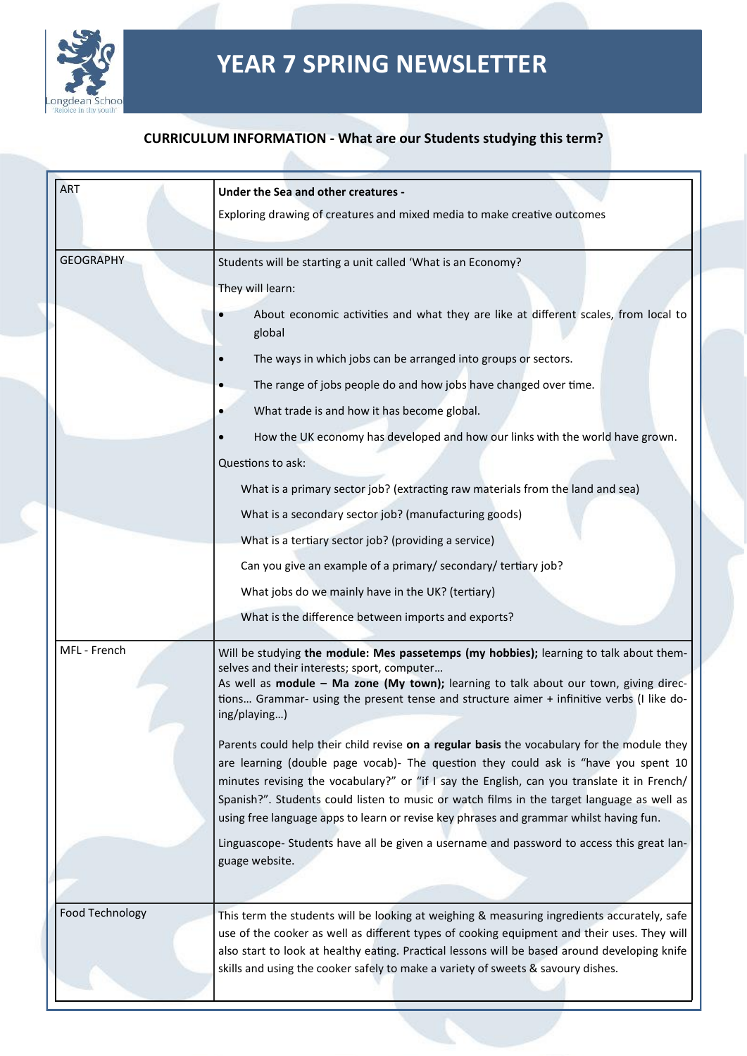

#### **CURRICULUM INFORMATION - What are our Students studying this term?**

| <b>ART</b>             | Under the Sea and other creatures -                                                                                                                                                                                                                                                                                                                                                                                                                                       |  |  |
|------------------------|---------------------------------------------------------------------------------------------------------------------------------------------------------------------------------------------------------------------------------------------------------------------------------------------------------------------------------------------------------------------------------------------------------------------------------------------------------------------------|--|--|
|                        | Exploring drawing of creatures and mixed media to make creative outcomes                                                                                                                                                                                                                                                                                                                                                                                                  |  |  |
|                        |                                                                                                                                                                                                                                                                                                                                                                                                                                                                           |  |  |
| <b>GEOGRAPHY</b>       | Students will be starting a unit called 'What is an Economy?                                                                                                                                                                                                                                                                                                                                                                                                              |  |  |
|                        | They will learn:                                                                                                                                                                                                                                                                                                                                                                                                                                                          |  |  |
|                        | About economic activities and what they are like at different scales, from local to<br>global                                                                                                                                                                                                                                                                                                                                                                             |  |  |
|                        | The ways in which jobs can be arranged into groups or sectors.                                                                                                                                                                                                                                                                                                                                                                                                            |  |  |
|                        | The range of jobs people do and how jobs have changed over time.                                                                                                                                                                                                                                                                                                                                                                                                          |  |  |
|                        | What trade is and how it has become global.                                                                                                                                                                                                                                                                                                                                                                                                                               |  |  |
|                        | How the UK economy has developed and how our links with the world have grown.                                                                                                                                                                                                                                                                                                                                                                                             |  |  |
|                        | Questions to ask:                                                                                                                                                                                                                                                                                                                                                                                                                                                         |  |  |
|                        | What is a primary sector job? (extracting raw materials from the land and sea)                                                                                                                                                                                                                                                                                                                                                                                            |  |  |
|                        | What is a secondary sector job? (manufacturing goods)                                                                                                                                                                                                                                                                                                                                                                                                                     |  |  |
|                        | What is a tertiary sector job? (providing a service)                                                                                                                                                                                                                                                                                                                                                                                                                      |  |  |
|                        | Can you give an example of a primary/ secondary/ tertiary job?                                                                                                                                                                                                                                                                                                                                                                                                            |  |  |
|                        | What jobs do we mainly have in the UK? (tertiary)                                                                                                                                                                                                                                                                                                                                                                                                                         |  |  |
|                        | What is the difference between imports and exports?                                                                                                                                                                                                                                                                                                                                                                                                                       |  |  |
| MFL - French           | Will be studying the module: Mes passetemps (my hobbies); learning to talk about them-<br>selves and their interests; sport, computer<br>As well as module - Ma zone (My town); learning to talk about our town, giving direc-<br>tions Grammar- using the present tense and structure aimer + infinitive verbs (I like do-<br>ing/playing)                                                                                                                               |  |  |
|                        | Parents could help their child revise on a regular basis the vocabulary for the module they<br>are learning (double page vocab)- The question they could ask is "have you spent 10<br>minutes revising the vocabulary?" or "if I say the English, can you translate it in French/<br>Spanish?". Students could listen to music or watch films in the target language as well as<br>using free language apps to learn or revise key phrases and grammar whilst having fun. |  |  |
|                        | Linguascope- Students have all be given a username and password to access this great lan-<br>guage website.                                                                                                                                                                                                                                                                                                                                                               |  |  |
|                        |                                                                                                                                                                                                                                                                                                                                                                                                                                                                           |  |  |
| <b>Food Technology</b> | This term the students will be looking at weighing & measuring ingredients accurately, safe<br>use of the cooker as well as different types of cooking equipment and their uses. They will<br>also start to look at healthy eating. Practical lessons will be based around developing knife<br>skills and using the cooker safely to make a variety of sweets & savoury dishes.                                                                                           |  |  |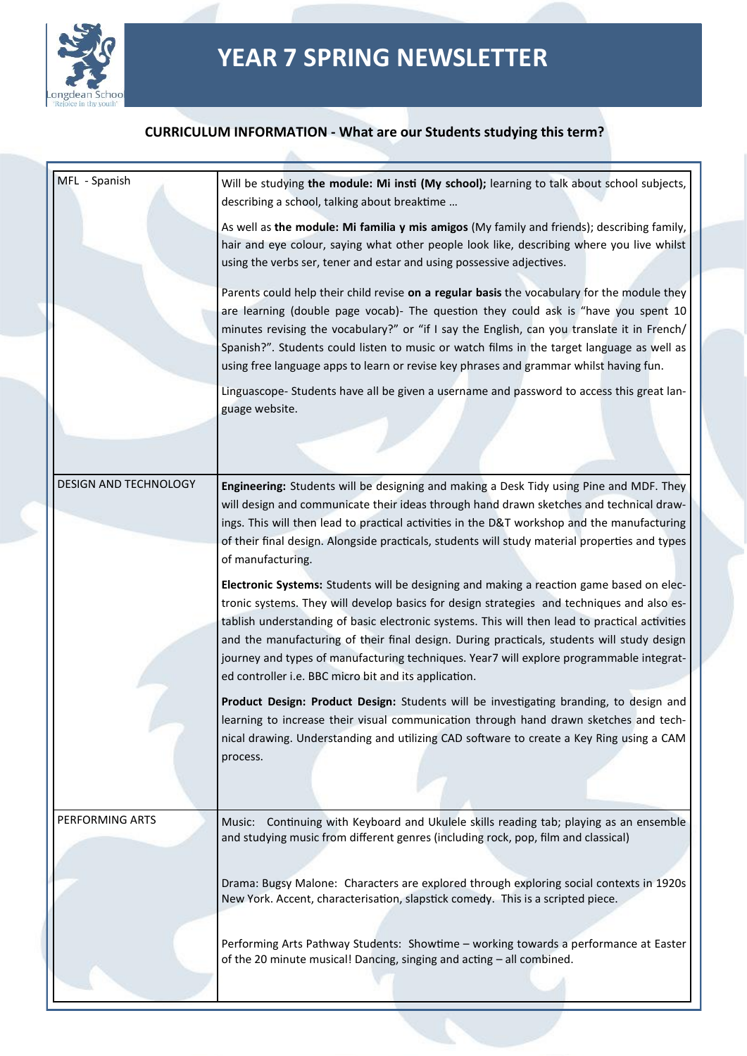

#### **CURRICULUM INFORMATION - What are our Students studying this term?**

| MFL - Spanish         | Will be studying the module: Mi insti (My school); learning to talk about school subjects,<br>describing a school, talking about breaktime                                                                                                                                                                                                                                                                                                                                                                                                  |
|-----------------------|---------------------------------------------------------------------------------------------------------------------------------------------------------------------------------------------------------------------------------------------------------------------------------------------------------------------------------------------------------------------------------------------------------------------------------------------------------------------------------------------------------------------------------------------|
|                       | As well as the module: Mi familia y mis amigos (My family and friends); describing family,<br>hair and eye colour, saying what other people look like, describing where you live whilst<br>using the verbs ser, tener and estar and using possessive adjectives.                                                                                                                                                                                                                                                                            |
|                       | Parents could help their child revise on a regular basis the vocabulary for the module they<br>are learning (double page vocab)- The question they could ask is "have you spent 10<br>minutes revising the vocabulary?" or "if I say the English, can you translate it in French/<br>Spanish?". Students could listen to music or watch films in the target language as well as<br>using free language apps to learn or revise key phrases and grammar whilst having fun.                                                                   |
|                       | Linguascope- Students have all be given a username and password to access this great lan-<br>guage website.                                                                                                                                                                                                                                                                                                                                                                                                                                 |
|                       |                                                                                                                                                                                                                                                                                                                                                                                                                                                                                                                                             |
| DESIGN AND TECHNOLOGY | Engineering: Students will be designing and making a Desk Tidy using Pine and MDF. They<br>will design and communicate their ideas through hand drawn sketches and technical draw-<br>ings. This will then lead to practical activities in the D&T workshop and the manufacturing<br>of their final design. Alongside practicals, students will study material properties and types<br>of manufacturing.                                                                                                                                    |
|                       | Electronic Systems: Students will be designing and making a reaction game based on elec-<br>tronic systems. They will develop basics for design strategies and techniques and also es-<br>tablish understanding of basic electronic systems. This will then lead to practical activities<br>and the manufacturing of their final design. During practicals, students will study design<br>journey and types of manufacturing techniques. Year7 will explore programmable integrat-<br>ed controller i.e. BBC micro bit and its application. |
|                       | Product Design: Product Design: Students will be investigating branding, to design and<br>learning to increase their visual communication through hand drawn sketches and tech-<br>nical drawing. Understanding and utilizing CAD software to create a Key Ring using a CAM<br>process.                                                                                                                                                                                                                                                     |
| PERFORMING ARTS       | Continuing with Keyboard and Ukulele skills reading tab; playing as an ensemble<br>Music:<br>and studying music from different genres (including rock, pop, film and classical)                                                                                                                                                                                                                                                                                                                                                             |
|                       | Drama: Bugsy Malone: Characters are explored through exploring social contexts in 1920s<br>New York. Accent, characterisation, slapstick comedy. This is a scripted piece.                                                                                                                                                                                                                                                                                                                                                                  |
|                       | Performing Arts Pathway Students: Showtime - working towards a performance at Easter<br>of the 20 minute musical! Dancing, singing and acting - all combined.                                                                                                                                                                                                                                                                                                                                                                               |